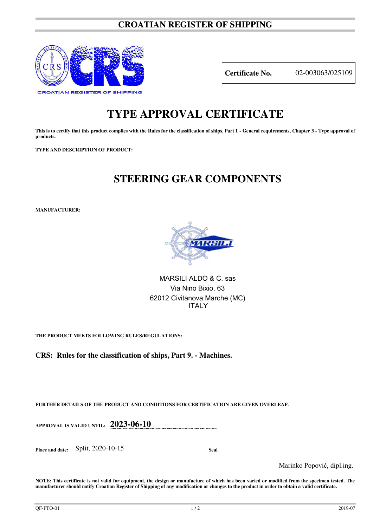### **CROATIAN REGISTER OF SHIPPING**



**Certificate No.** 02-003063/025109

# **TYPE APPROVAL CERTIFICATE**

This is to certify that this product complies with the Rules for the classification of ships, Part 1 - General requirements, Chapter 3 - Type approval of **products.** 

**TYPE AND DESCRIPTION OF PRODUCT:** 

## **STEERING GEAR COMPONENTS**

**MANUFACTURER:**



MARSILI ALDO & C. sas Via Nino Bixio, 63 62012 Civitanova Marche (MC) ITALY

**THE PRODUCT MEETS FOLLOWING RULES/REGULATIONS:**

**CRS: Rules for the classification of ships, Part 9. - Machines.**

**FURTHER DETAILS OF THE PRODUCT AND CONDITIONS FOR CERTIFICATION ARE GIVEN OVERLEAF.**

**APPROVAL IS VALID UNTIL: 2023-06-10** 

**Place and date:** Split, 2020-10-15 **Seal** 

Marinko Popović, dipl.ing.

**NOTE: This certificate is not valid for equipment, the design or manufacture of which has been varied or modified from the specimen tested. The manufacturer should notify Croatian Register of Shipping of any modification or changes to the product in order to obtain a valid certificate.**